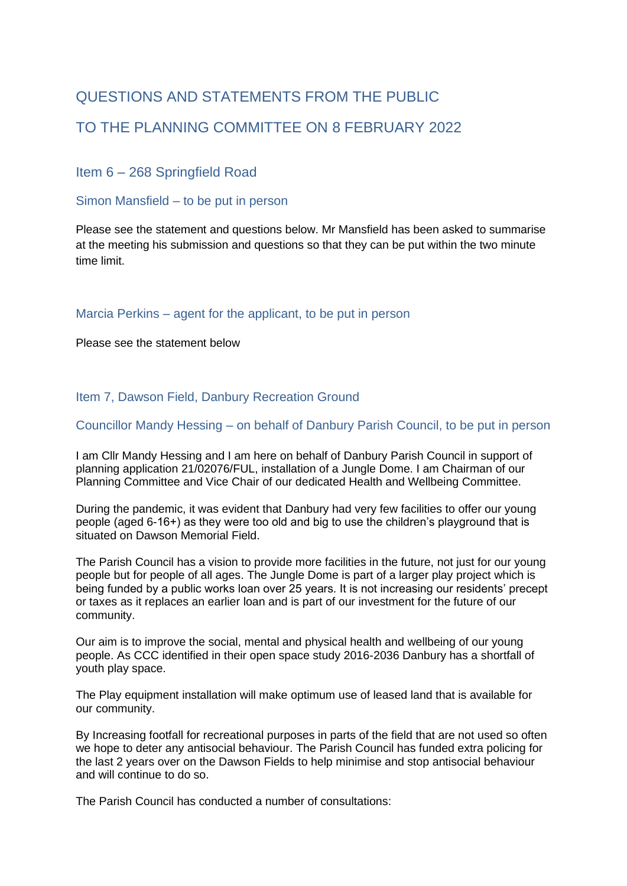# QUESTIONS AND STATEMENTS FROM THE PUBLIC TO THE PLANNING COMMITTEE ON 8 FEBRUARY 2022

Item 6 – 268 Springfield Road

Simon Mansfield – to be put in person

Please see the statement and questions below. Mr Mansfield has been asked to summarise at the meeting his submission and questions so that they can be put within the two minute time limit.

Marcia Perkins – agent for the applicant, to be put in person

Please see the statement below

Item 7, Dawson Field, Danbury Recreation Ground

Councillor Mandy Hessing – on behalf of Danbury Parish Council, to be put in person

I am Cllr Mandy Hessing and I am here on behalf of Danbury Parish Council in support of planning application 21/02076/FUL, installation of a Jungle Dome. I am Chairman of our Planning Committee and Vice Chair of our dedicated Health and Wellbeing Committee.

During the pandemic, it was evident that Danbury had very few facilities to offer our young people (aged 6-16+) as they were too old and big to use the children's playground that is situated on Dawson Memorial Field.

The Parish Council has a vision to provide more facilities in the future, not just for our young people but for people of all ages. The Jungle Dome is part of a larger play project which is being funded by a public works loan over 25 years. It is not increasing our residents' precept or taxes as it replaces an earlier loan and is part of our investment for the future of our community.

Our aim is to improve the social, mental and physical health and wellbeing of our young people. As CCC identified in their open space study 2016-2036 Danbury has a shortfall of youth play space.

The Play equipment installation will make optimum use of leased land that is available for our community.

By Increasing footfall for recreational purposes in parts of the field that are not used so often we hope to deter any antisocial behaviour. The Parish Council has funded extra policing for the last 2 years over on the Dawson Fields to help minimise and stop antisocial behaviour and will continue to do so.

The Parish Council has conducted a number of consultations: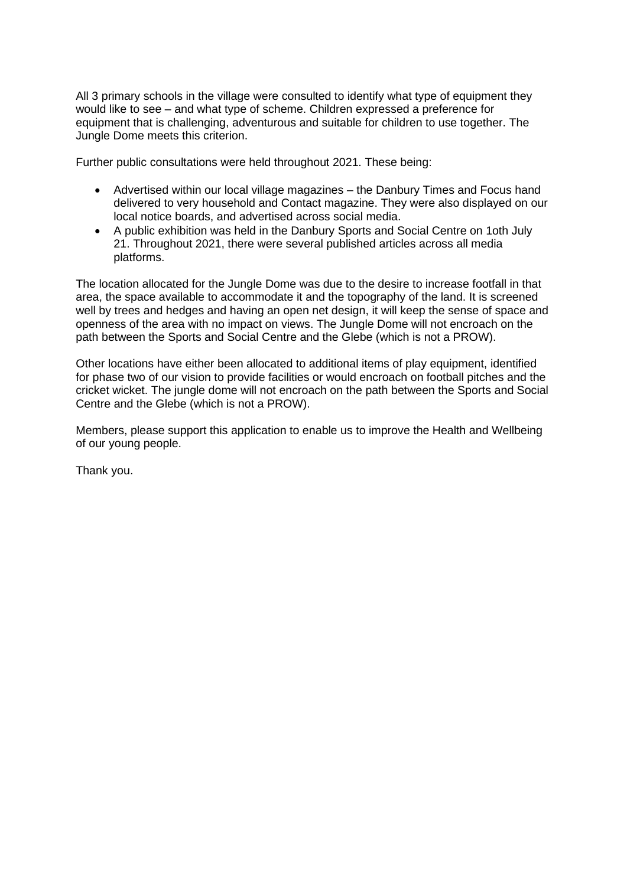All 3 primary schools in the village were consulted to identify what type of equipment they would like to see – and what type of scheme. Children expressed a preference for equipment that is challenging, adventurous and suitable for children to use together. The Jungle Dome meets this criterion.

Further public consultations were held throughout 2021. These being:

- Advertised within our local village magazines the Danbury Times and Focus hand delivered to very household and Contact magazine. They were also displayed on our local notice boards, and advertised across social media.
- A public exhibition was held in the Danbury Sports and Social Centre on 1oth July 21. Throughout 2021, there were several published articles across all media platforms.

The location allocated for the Jungle Dome was due to the desire to increase footfall in that area, the space available to accommodate it and the topography of the land. It is screened well by trees and hedges and having an open net design, it will keep the sense of space and openness of the area with no impact on views. The Jungle Dome will not encroach on the path between the Sports and Social Centre and the Glebe (which is not a PROW).

Other locations have either been allocated to additional items of play equipment, identified for phase two of our vision to provide facilities or would encroach on football pitches and the cricket wicket. The jungle dome will not encroach on the path between the Sports and Social Centre and the Glebe (which is not a PROW).

Members, please support this application to enable us to improve the Health and Wellbeing of our young people.

Thank you.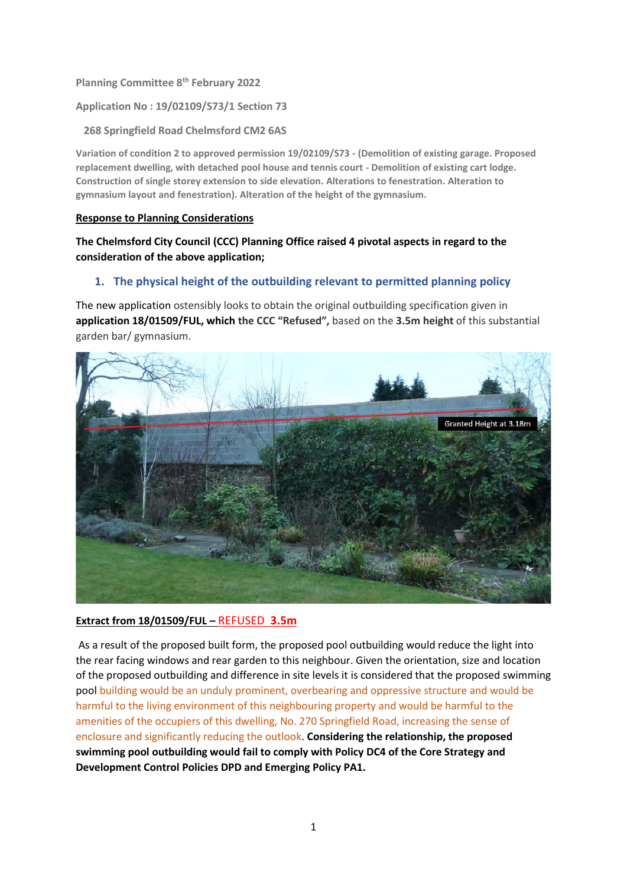**Planning Committee 8th February 2022**

**Application No : 19/02109/S73/1 Section 73** 

 **268 Springfield Road Chelmsford CM2 6AS**

**Variation of condition 2 to approved permission 19/02109/S73 - (Demolition of existing garage. Proposed replacement dwelling, with detached pool house and tennis court - Demolition of existing cart lodge. Construction of single storey extension to side elevation. Alterations to fenestration. Alteration to gymnasium layout and fenestration). Alteration of the height of the gymnasium.**

## **Response to Planning Considerations**

# **The Chelmsford City Council (CCC) Planning Office raised 4 pivotal aspects in regard to the consideration of the above application;**

# **1. The physical height of the outbuilding relevant to permitted planning policy**

The new application ostensibly looks to obtain the original outbuilding specification given in **application 18/01509/FUL, which the CCC "Refused",** based on the **3.5m height** of this substantial garden bar/ gymnasium.



#### **Extract from 18/01509/FUL –** REFUSED **3.5m**

As a result of the proposed built form, the proposed pool outbuilding would reduce the light into the rear facing windows and rear garden to this neighbour. Given the orientation, size and location of the proposed outbuilding and difference in site levels it is considered that the proposed swimming pool building would be an unduly prominent, overbearing and oppressive structure and would be harmful to the living environment of this neighbouring property and would be harmful to the amenities of the occupiers of this dwelling, No. 270 Springfield Road, increasing the sense of enclosure and significantly reducing the outlook. **Considering the relationship, the proposed swimming pool outbuilding would fail to comply with Policy DC4 of the Core Strategy and Development Control Policies DPD and Emerging Policy PA1.**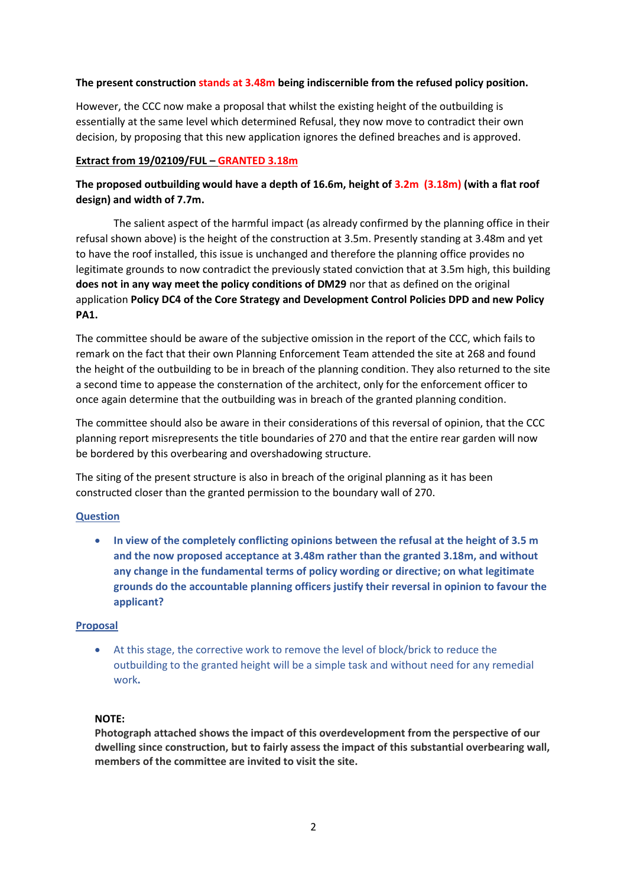## **The present construction stands at 3.48m being indiscernible from the refused policy position.**

However, the CCC now make a proposal that whilst the existing height of the outbuilding is essentially at the same level which determined Refusal, they now move to contradict their own decision, by proposing that this new application ignores the defined breaches and is approved.

## **Extract from 19/02109/FUL – GRANTED 3.18m**

# **The proposed outbuilding would have a depth of 16.6m, height of 3.2m (3.18m) (with a flat roof design) and width of 7.7m.**

The salient aspect of the harmful impact (as already confirmed by the planning office in their refusal shown above) is the height of the construction at 3.5m. Presently standing at 3.48m and yet to have the roof installed, this issue is unchanged and therefore the planning office provides no legitimate grounds to now contradict the previously stated conviction that at 3.5m high, this building **does not in any way meet the policy conditions of DM29** nor that as defined on the original application **Policy DC4 of the Core Strategy and Development Control Policies DPD and new Policy PA1.**

The committee should be aware of the subjective omission in the report of the CCC, which fails to remark on the fact that their own Planning Enforcement Team attended the site at 268 and found the height of the outbuilding to be in breach of the planning condition. They also returned to the site a second time to appease the consternation of the architect, only for the enforcement officer to once again determine that the outbuilding was in breach of the granted planning condition.

The committee should also be aware in their considerations of this reversal of opinion, that the CCC planning report misrepresents the title boundaries of 270 and that the entire rear garden will now be bordered by this overbearing and overshadowing structure.

The siting of the present structure is also in breach of the original planning as it has been constructed closer than the granted permission to the boundary wall of 270.

## **Question**

• **In view of the completely conflicting opinions between the refusal at the height of 3.5 m and the now proposed acceptance at 3.48m rather than the granted 3.18m, and without any change in the fundamental terms of policy wording or directive; on what legitimate grounds do the accountable planning officers justify their reversal in opinion to favour the applicant?** 

#### **Proposal**

• At this stage, the corrective work to remove the level of block/brick to reduce the outbuilding to the granted height will be a simple task and without need for any remedial work**.**

### **NOTE:**

**Photograph attached shows the impact of this overdevelopment from the perspective of our dwelling since construction, but to fairly assess the impact of this substantial overbearing wall, members of the committee are invited to visit the site.**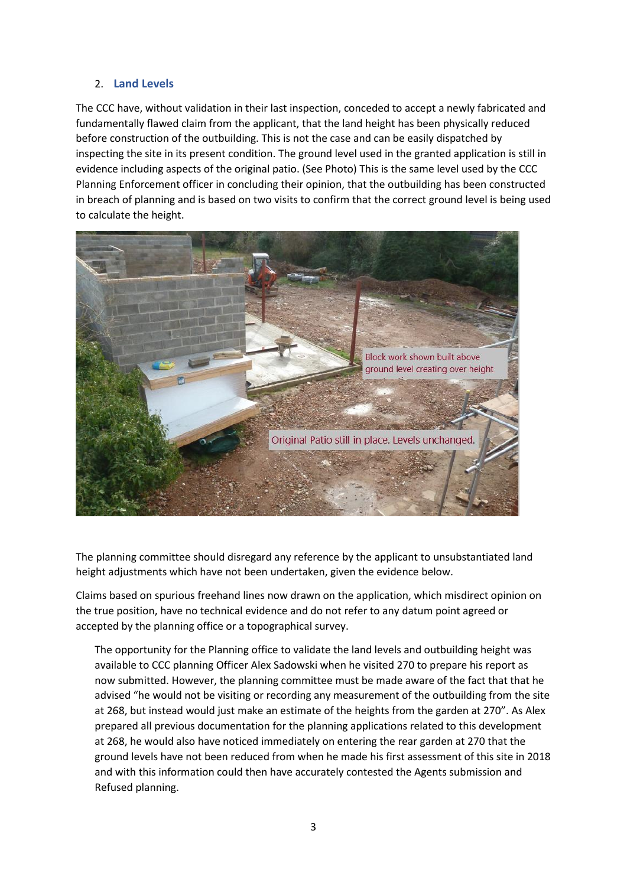## 2. **Land Levels**

The CCC have, without validation in their last inspection, conceded to accept a newly fabricated and fundamentally flawed claim from the applicant, that the land height has been physically reduced before construction of the outbuilding. This is not the case and can be easily dispatched by inspecting the site in its present condition. The ground level used in the granted application is still in evidence including aspects of the original patio. (See Photo) This is the same level used by the CCC Planning Enforcement officer in concluding their opinion, that the outbuilding has been constructed in breach of planning and is based on two visits to confirm that the correct ground level is being used to calculate the height.



The planning committee should disregard any reference by the applicant to unsubstantiated land height adjustments which have not been undertaken, given the evidence below.

Claims based on spurious freehand lines now drawn on the application, which misdirect opinion on the true position, have no technical evidence and do not refer to any datum point agreed or accepted by the planning office or a topographical survey.

The opportunity for the Planning office to validate the land levels and outbuilding height was available to CCC planning Officer Alex Sadowski when he visited 270 to prepare his report as now submitted. However, the planning committee must be made aware of the fact that that he advised "he would not be visiting or recording any measurement of the outbuilding from the site at 268, but instead would just make an estimate of the heights from the garden at 270". As Alex prepared all previous documentation for the planning applications related to this development at 268, he would also have noticed immediately on entering the rear garden at 270 that the ground levels have not been reduced from when he made his first assessment of this site in 2018 and with this information could then have accurately contested the Agents submission and Refused planning.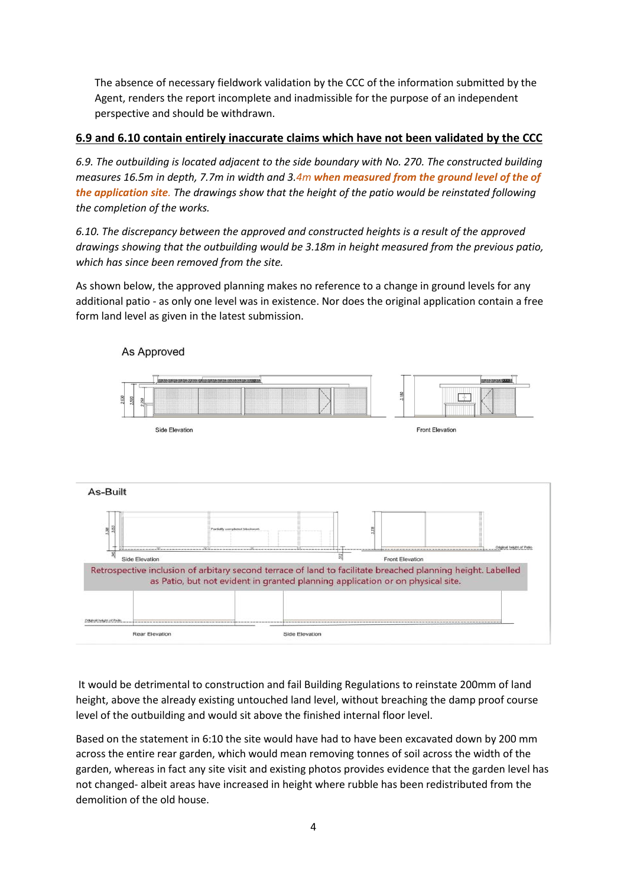The absence of necessary fieldwork validation by the CCC of the information submitted by the Agent, renders the report incomplete and inadmissible for the purpose of an independent perspective and should be withdrawn.

# **6.9 and 6.10 contain entirely inaccurate claims which have not been validated by the CCC**

*6.9. The outbuilding is located adjacent to the side boundary with No. 270. The constructed building measures 16.5m in depth, 7.7m in width and 3.4m when measured from the ground level of the of the application site. The drawings show that the height of the patio would be reinstated following the completion of the works.*

*6.10. The discrepancy between the approved and constructed heights is a result of the approved drawings showing that the outbuilding would be 3.18m in height measured from the previous patio, which has since been removed from the site.*

As shown below, the approved planning makes no reference to a change in ground levels for any additional patio - as only one level was in existence. Nor does the original application contain a free form land level as given in the latest submission.



# As Approved

It would be detrimental to construction and fail Building Regulations to reinstate 200mm of land height, above the already existing untouched land level, without breaching the damp proof course level of the outbuilding and would sit above the finished internal floor level.

Based on the statement in 6:10 the site would have had to have been excavated down by 200 mm across the entire rear garden, which would mean removing tonnes of soil across the width of the garden, whereas in fact any site visit and existing photos provides evidence that the garden level has not changed- albeit areas have increased in height where rubble has been redistributed from the demolition of the old house.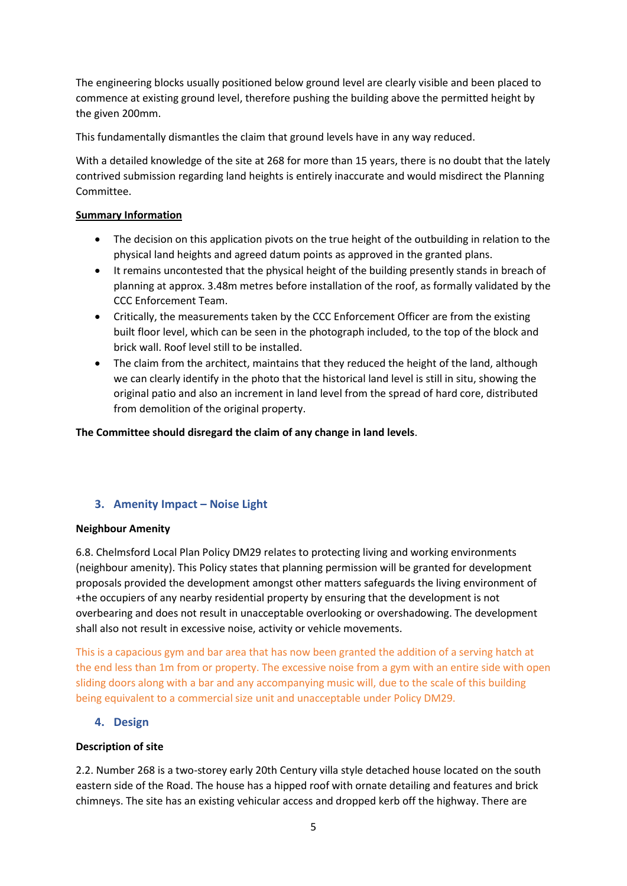The engineering blocks usually positioned below ground level are clearly visible and been placed to commence at existing ground level, therefore pushing the building above the permitted height by the given 200mm.

This fundamentally dismantles the claim that ground levels have in any way reduced.

With a detailed knowledge of the site at 268 for more than 15 years, there is no doubt that the lately contrived submission regarding land heights is entirely inaccurate and would misdirect the Planning Committee.

## **Summary Information**

- The decision on this application pivots on the true height of the outbuilding in relation to the physical land heights and agreed datum points as approved in the granted plans.
- It remains uncontested that the physical height of the building presently stands in breach of planning at approx. 3.48m metres before installation of the roof, as formally validated by the CCC Enforcement Team.
- Critically, the measurements taken by the CCC Enforcement Officer are from the existing built floor level, which can be seen in the photograph included, to the top of the block and brick wall. Roof level still to be installed.
- The claim from the architect, maintains that they reduced the height of the land, although we can clearly identify in the photo that the historical land level is still in situ, showing the original patio and also an increment in land level from the spread of hard core, distributed from demolition of the original property.

**The Committee should disregard the claim of any change in land levels**.

## **3. Amenity Impact – Noise Light**

#### **Neighbour Amenity**

6.8. Chelmsford Local Plan Policy DM29 relates to protecting living and working environments (neighbour amenity). This Policy states that planning permission will be granted for development proposals provided the development amongst other matters safeguards the living environment of +the occupiers of any nearby residential property by ensuring that the development is not overbearing and does not result in unacceptable overlooking or overshadowing. The development shall also not result in excessive noise, activity or vehicle movements.

This is a capacious gym and bar area that has now been granted the addition of a serving hatch at the end less than 1m from or property. The excessive noise from a gym with an entire side with open sliding doors along with a bar and any accompanying music will, due to the scale of this building being equivalent to a commercial size unit and unacceptable under Policy DM29.

## **4. Design**

#### **Description of site**

2.2. Number 268 is a two-storey early 20th Century villa style detached house located on the south eastern side of the Road. The house has a hipped roof with ornate detailing and features and brick chimneys. The site has an existing vehicular access and dropped kerb off the highway. There are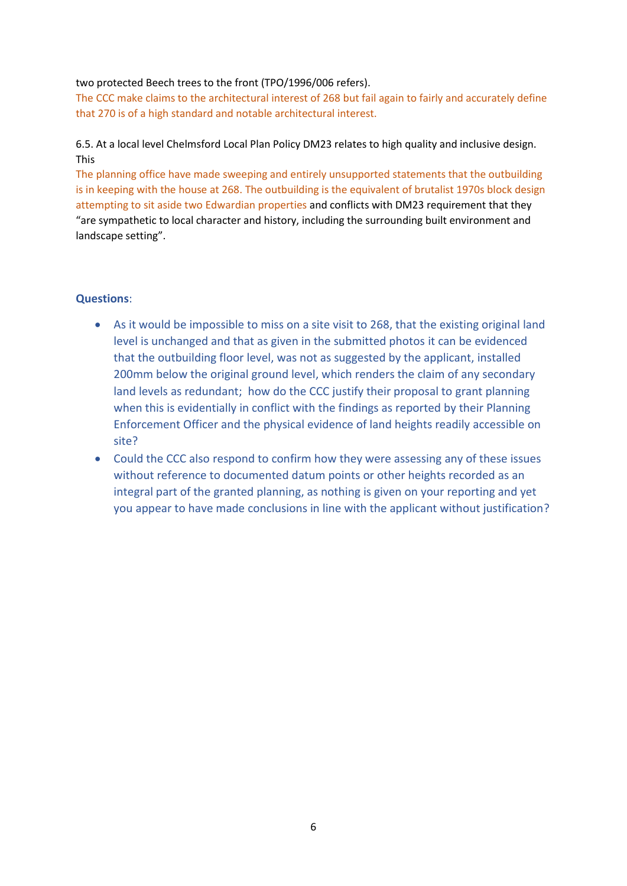## two protected Beech trees to the front (TPO/1996/006 refers).

The CCC make claims to the architectural interest of 268 but fail again to fairly and accurately define that 270 is of a high standard and notable architectural interest.

# 6.5. At a local level Chelmsford Local Plan Policy DM23 relates to high quality and inclusive design. This

The planning office have made sweeping and entirely unsupported statements that the outbuilding is in keeping with the house at 268. The outbuilding is the equivalent of brutalist 1970s block design attempting to sit aside two Edwardian properties and conflicts with DM23 requirement that they "are sympathetic to local character and history, including the surrounding built environment and landscape setting".

# **Questions**:

- As it would be impossible to miss on a site visit to 268, that the existing original land level is unchanged and that as given in the submitted photos it can be evidenced that the outbuilding floor level, was not as suggested by the applicant, installed 200mm below the original ground level, which renders the claim of any secondary land levels as redundant; how do the CCC justify their proposal to grant planning when this is evidentially in conflict with the findings as reported by their Planning Enforcement Officer and the physical evidence of land heights readily accessible on site?
- Could the CCC also respond to confirm how they were assessing any of these issues without reference to documented datum points or other heights recorded as an integral part of the granted planning, as nothing is given on your reporting and yet you appear to have made conclusions in line with the applicant without justification?